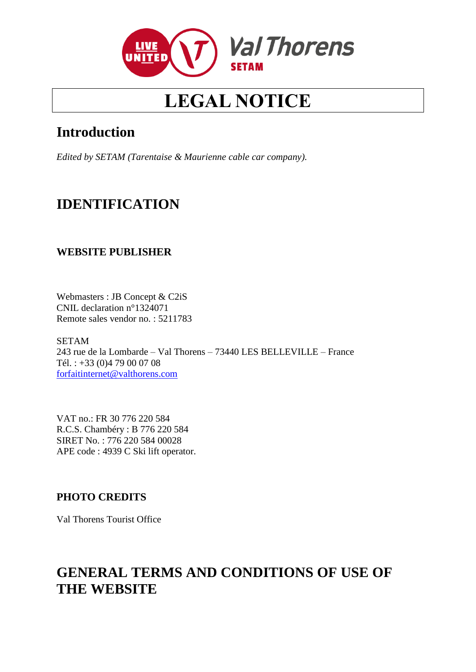

# **LEGAL NOTICE**

# **Introduction**

*Edited by SETAM (Tarentaise & Maurienne cable car company).*

# **IDENTIFICATION**

# **WEBSITE PUBLISHER**

Webmasters : JB Concept & C2iS CNIL declaration n°1324071 Remote sales vendor no. : 5211783

SETAM 243 rue de la Lombarde – Val Thorens – 73440 LES BELLEVILLE – France Tél. : +33 (0)4 79 00 07 08 [forfaitinternet@valthorens.com](mailto:forfaitinternet@valthorens.com)

VAT no.: FR 30 776 220 584 R.C.S. Chambéry : B 776 220 584 SIRET No. : 776 220 584 00028 APE code : 4939 C Ski lift operator.

# **PHOTO CREDITS**

Val Thorens Tourist Office

# **GENERAL TERMS AND CONDITIONS OF USE OF THE WEBSITE**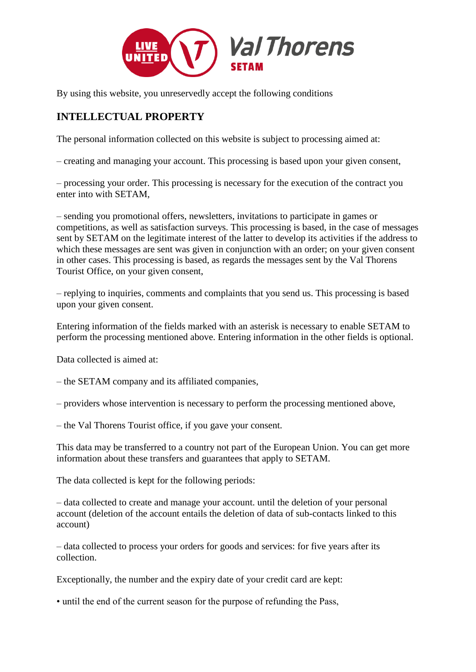

By using this website, you unreservedly accept the following conditions

# **INTELLECTUAL PROPERTY**

The personal information collected on this website is subject to processing aimed at:

– creating and managing your account. This processing is based upon your given consent,

– processing your order. This processing is necessary for the execution of the contract you enter into with SETAM,

– sending you promotional offers, newsletters, invitations to participate in games or competitions, as well as satisfaction surveys. This processing is based, in the case of messages sent by SETAM on the legitimate interest of the latter to develop its activities if the address to which these messages are sent was given in conjunction with an order; on your given consent in other cases. This processing is based, as regards the messages sent by the Val Thorens Tourist Office, on your given consent,

– replying to inquiries, comments and complaints that you send us. This processing is based upon your given consent.

Entering information of the fields marked with an asterisk is necessary to enable SETAM to perform the processing mentioned above. Entering information in the other fields is optional.

Data collected is aimed at:

– the SETAM company and its affiliated companies,

– providers whose intervention is necessary to perform the processing mentioned above,

– the Val Thorens Tourist office, if you gave your consent.

This data may be transferred to a country not part of the European Union. You can get more information about these transfers and guarantees that apply to SETAM.

The data collected is kept for the following periods:

– data collected to create and manage your account. until the deletion of your personal account (deletion of the account entails the deletion of data of sub-contacts linked to this account)

– data collected to process your orders for goods and services: for five years after its collection.

Exceptionally, the number and the expiry date of your credit card are kept:

• until the end of the current season for the purpose of refunding the Pass,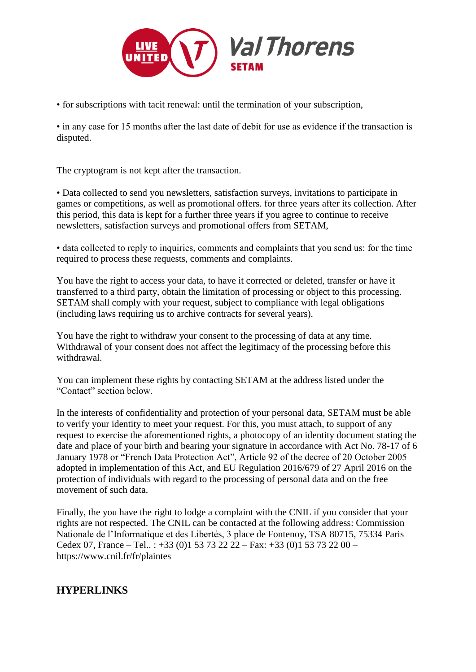

• for subscriptions with tacit renewal: until the termination of your subscription,

• in any case for 15 months after the last date of debit for use as evidence if the transaction is disputed.

The cryptogram is not kept after the transaction.

• Data collected to send you newsletters, satisfaction surveys, invitations to participate in games or competitions, as well as promotional offers. for three years after its collection. After this period, this data is kept for a further three years if you agree to continue to receive newsletters, satisfaction surveys and promotional offers from SETAM,

• data collected to reply to inquiries, comments and complaints that you send us: for the time required to process these requests, comments and complaints.

You have the right to access your data, to have it corrected or deleted, transfer or have it transferred to a third party, obtain the limitation of processing or object to this processing. SETAM shall comply with your request, subject to compliance with legal obligations (including laws requiring us to archive contracts for several years).

You have the right to withdraw your consent to the processing of data at any time. Withdrawal of your consent does not affect the legitimacy of the processing before this withdrawal.

You can implement these rights by contacting SETAM at the address listed under the "Contact" section below.

In the interests of confidentiality and protection of your personal data, SETAM must be able to verify your identity to meet your request. For this, you must attach, to support of any request to exercise the aforementioned rights, a photocopy of an identity document stating the date and place of your birth and bearing your signature in accordance with Act No. 78-17 of 6 January 1978 or "French Data Protection Act", Article 92 of the decree of 20 October 2005 adopted in implementation of this Act, and EU Regulation 2016/679 of 27 April 2016 on the protection of individuals with regard to the processing of personal data and on the free movement of such data.

Finally, the you have the right to lodge a complaint with the CNIL if you consider that your rights are not respected. The CNIL can be contacted at the following address: Commission Nationale de l'Informatique et des Libertés, 3 place de Fontenoy, TSA 80715, 75334 Paris Cedex 07, France – Tel.. : +33 (0)1 53 73 22 22 – Fax: +33 (0)1 53 73 22 00 – https://www.cnil.fr/fr/plaintes

# **HYPERLINKS**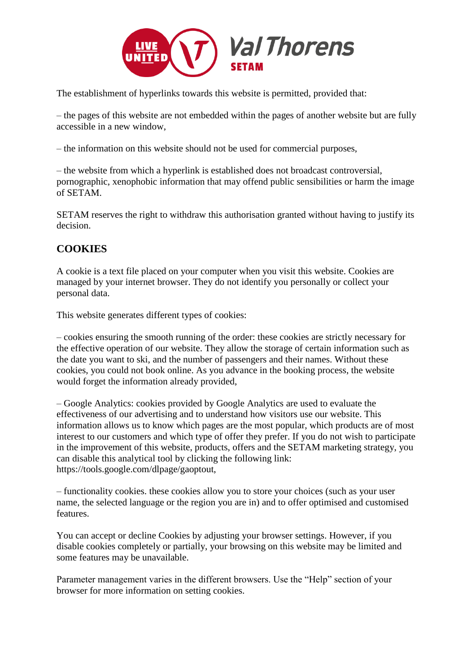

The establishment of hyperlinks towards this website is permitted, provided that:

– the pages of this website are not embedded within the pages of another website but are fully accessible in a new window,

– the information on this website should not be used for commercial purposes,

– the website from which a hyperlink is established does not broadcast controversial, pornographic, xenophobic information that may offend public sensibilities or harm the image of SETAM.

SETAM reserves the right to withdraw this authorisation granted without having to justify its decision.

# **COOKIES**

A cookie is a text file placed on your computer when you visit this website. Cookies are managed by your internet browser. They do not identify you personally or collect your personal data.

This website generates different types of cookies:

– cookies ensuring the smooth running of the order: these cookies are strictly necessary for the effective operation of our website. They allow the storage of certain information such as the date you want to ski, and the number of passengers and their names. Without these cookies, you could not book online. As you advance in the booking process, the website would forget the information already provided,

– Google Analytics: cookies provided by Google Analytics are used to evaluate the effectiveness of our advertising and to understand how visitors use our website. This information allows us to know which pages are the most popular, which products are of most interest to our customers and which type of offer they prefer. If you do not wish to participate in the improvement of this website, products, offers and the SETAM marketing strategy, you can disable this analytical tool by clicking the following link: https://tools.google.com/dlpage/gaoptout,

– functionality cookies. these cookies allow you to store your choices (such as your user name, the selected language or the region you are in) and to offer optimised and customised features.

You can accept or decline Cookies by adjusting your browser settings. However, if you disable cookies completely or partially, your browsing on this website may be limited and some features may be unavailable.

Parameter management varies in the different browsers. Use the "Help" section of your browser for more information on setting cookies.